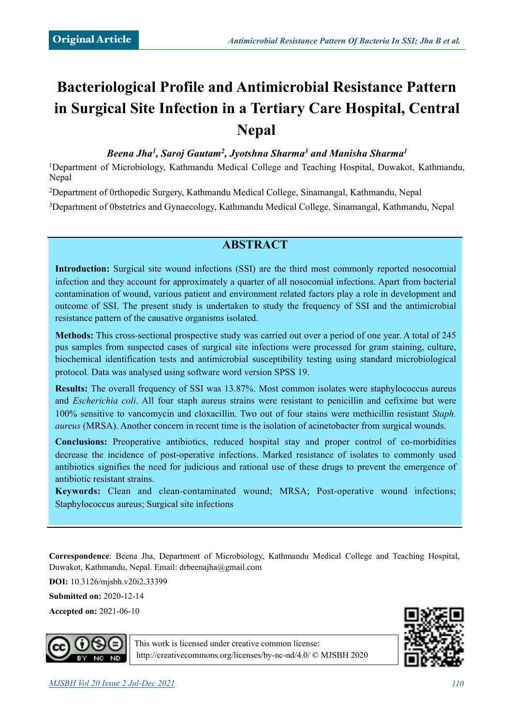# **Bacteriological Profile and Antimicrobial Resistance Pattern in Surgical Site Infection in a Tertiary Care Hospital, Central Nepal**

*Beena Jha1, Saroj Gautam2, Jyotshna Sharma3 and Manisha Sharma1*

1Department of Microbiology, Kathmandu Medical College and Teaching Hospital, Duwakot, Kathmandu, Nepal

2Department of 0rthopedic Surgery, Kathmandu Medical College, Sinamangal, Kathmandu, Nepal 3Department of 0bstetrics and Gynaecology, Kathmandu Medical College, Sinamangal, Kathmandu, Nepal

## **ABSTRACT**

**Introduction:** Surgical site wound infections (SSI) are the third most commonly reported nosocomial infection and they account for approximately a quarter of all nosocomial infections. Apart from bacterial contamination of wound, various patient and environment related factors play a role in development and outcome of SSI. The present study is undertaken to study the frequency of SSI and the antimicrobial resistance pattern of the causative organisms isolated.

**Methods:** This cross-sectional prospective study was carried out over a period of one year. A total of 245 pus samples from suspected cases of surgical site infections were processed for gram staining, culture, biochemical identification tests and antimicrobial susceptibility testing using standard microbiological protocol. Data was analysed using software word version SPSS 19.

**Results:** The overall frequency of SSI was 13.87%. Most common isolates were staphylococcus aureus and *Escherichia coli*. All four staph aureus strains were resistant to penicillin and cefixime but were 100% sensitive to vancomycin and cloxacillin. Two out of four stains were methicillin resistant *Staph. aureus* (MRSA). Another concern in recent time is the isolation of acinetobacter from surgical wounds.

**Conclusions:** Preoperative antibiotics, reduced hospital stay and proper control of co-morbidities decrease the incidence of post-operative infections. Marked resistance of isolates to commonly used antibiotics signifies the need for judicious and rational use of these drugs to prevent the emergence of antibiotic resistant strains.

**Keywords:** Clean and clean-contaminated wound; MRSA; Post-operative wound infections; Staphylococcus aureus; Surgical site infections

**Correspondence**: Beena Jha, Department of Microbiology, Kathmandu Medical College and Teaching Hospital, Duwakot, Kathmandu, Nepal. Email: [drbeenajha@gmail.com](mailto:drbeenajha@gmail.com)

**DOI:** 10.3126/mjsbh.v20i2.33399

**Submitted on:** 2020-12-14

**Accepted on:** 2021-06-10



This work is licensed under creative common license: <http://creativecommons.org/licenses/by-nc-nd/4.0/>© MJSBH 2020

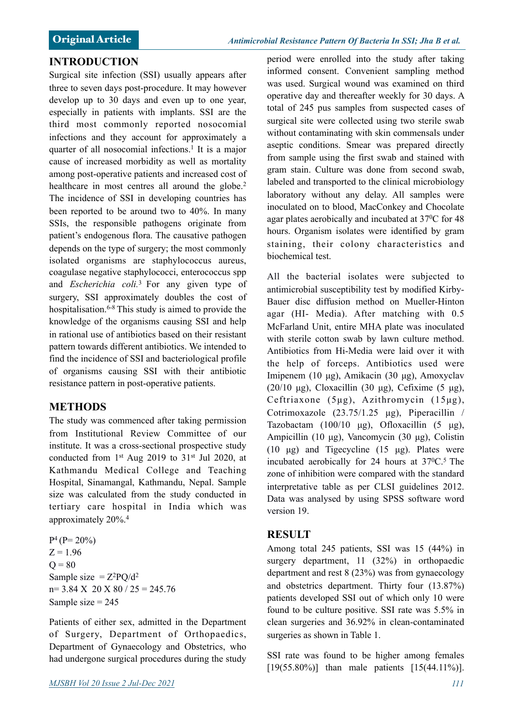#### **INTRODUCTION**

Surgical site infection (SSI) usually appears after three to seven days post-procedure. It may however develop up to 30 days and even up to one year, especially in patients with implants. SSI are the third most commonly reported nosocomial infections and they account for approximately a quarter of all nosocomial infections.<sup>1</sup> It is a major cause of increased morbidity as well as mortality among post-operative patients and increased cost of healthcare in most centres all around the globe.<sup>2</sup> The incidence of SSI in developing countries has been reported to be around two to 40%. In many SSIs, the responsible pathogens originate from patient's endogenous flora. The causative pathogen depends on the type of surgery; the most commonly isolated organisms are staphylococcus aureus, coagulase negative staphylococci, enterococcus spp and *Escherichia coli.*3 For any given type of surgery, SSI approximately doubles the cost of hospitalisation.6-8 This study is aimed to provide the knowledge of the organisms causing SSI and help in rational use of antibiotics based on their resistant pattern towards different antibiotics. We intended to find the incidence of SSI and bacteriological profile of organisms causing SSI with their antibiotic resistance pattern in post-operative patients.

#### **METHODS**

The study was commenced after taking permission from Institutional Review Committee of our institute. It was a cross-sectional prospective study conducted from  $1<sup>st</sup>$  Aug 2019 to 31 $<sup>st</sup>$  Jul 2020, at</sup> Kathmandu Medical College and Teaching Hospital, Sinamangal, Kathmandu, Nepal. Sample size was calculated from the study conducted in tertiary care hospital in India which was approximately 20%.4

 $P^4$  ( $P= 20\%$ )  $Z = 1.96$  $Q = 80$ Sample size  $= Z^2 PQ/d^2$  $n= 3.84$  X 20 X 80 / 25 = 245.76 Sample size  $= 245$ 

Patients of either sex, admitted in the Department of Surgery, Department of Orthopaedics, Department of Gynaecology and Obstetrics, who had undergone surgical procedures during the study

period were enrolled into the study after taking informed consent. Convenient sampling method was used. Surgical wound was examined on third operative day and thereafter weekly for 30 days. A total of 245 pus samples from suspected cases of surgical site were collected using two sterile swab without contaminating with skin commensals under aseptic conditions. Smear was prepared directly from sample using the first swab and stained with gram stain. Culture was done from second swab, labeled and transported to the clinical microbiology laboratory without any delay. All samples were inoculated on to blood, MacConkey and Chocolate agar plates aerobically and incubated at 370C for 48 hours. Organism isolates were identified by gram staining, their colony characteristics and biochemical test.

All the bacterial isolates were subjected to antimicrobial susceptibility test by modified Kirby-Bauer disc diffusion method on Mueller-Hinton agar (HI- Media). After matching with 0.5 McFarland Unit, entire MHA plate was inoculated with sterile cotton swab by lawn culture method. Antibiotics from Hi-Media were laid over it with the help of forceps. Antibiotics used were Imipenem (10 µg), Amikacin (30 µg), Amoxyclav (20/10  $\mu$ g), Cloxacillin (30  $\mu$ g), Cefixime (5  $\mu$ g), Ceftriaxone (5µg), Azithromycin (15µg), Cotrimoxazole  $(23.75/1.25 \text{ µg})$ , Piperacillin / Tazobactam  $(100/10 \text{ µg})$ , Ofloxacillin  $(5 \text{ µg})$ , Ampicillin (10 µg), Vancomycin (30 µg), Colistin (10 µg) and Tigecycline (15 µg). Plates were incubated aerobically for 24 hours at  $37^{\circ}$ C.<sup>5</sup> The zone of inhibition were compared with the standard interpretative table as per CLSI guidelines 2012. Data was analysed by using SPSS software word version 19.

#### **RESULT**

Among total 245 patients, SSI was 15 (44%) in surgery department, 11 (32%) in orthopaedic department and rest 8 (23%) was from gynaecology and obstetrics department. Thirty four (13.87%) patients developed SSI out of which only 10 were found to be culture positive. SSI rate was 5.5% in clean surgeries and 36.92% in clean-contaminated surgeries as shown in Table 1.

SSI rate was found to be higher among females  $[19(55.80\%)]$  than male patients  $[15(44.11\%)]$ .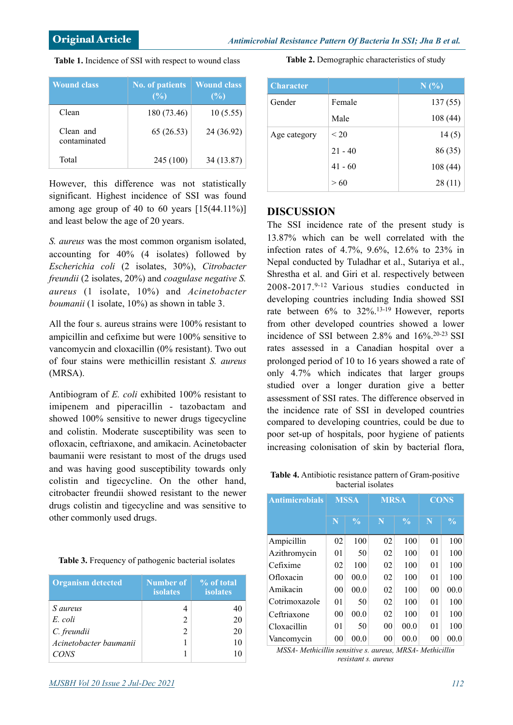| <b>Wound class</b>        | <b>No. of patients</b><br>(%) | <b>Wound class</b><br>(%) |
|---------------------------|-------------------------------|---------------------------|
| Clean                     | 180 (73.46)                   | 10(5.55)                  |
| Clean and<br>contaminated | 65(26.53)                     | 24 (36.92)                |
| Total                     | 245 (100)                     | 34 (13.87)                |

However, this difference was not statistically significant. Highest incidence of SSI was found among age group of 40 to 60 years  $[15(44.11\%)]$ and least below the age of 20 years.

*S. aureus* was the most common organism isolated, accounting for 40% (4 isolates) followed by *Escherichia coli* (2 isolates, 30%), *Citrobacter freundii* (2 isolates, 20%) and *coagulase negative S. aureus* (1 isolate, 10%) and *Acinetobacter boumanii* (1 isolate, 10%) as shown in table 3.

All the four s. aureus strains were 100% resistant to ampicillin and cefixime but were 100% sensitive to vancomycin and cloxacillin (0% resistant). Two out of four stains were methicillin resistant *S. aureus* (MRSA).

Antibiogram of *E. coli* exhibited 100% resistant to imipenem and piperacillin - tazobactam and showed 100% sensitive to newer drugs tigecycline and colistin. Moderate susceptibility was seen to ofloxacin, ceftriaxone, and amikacin. Acinetobacter baumanii were resistant to most of the drugs used and was having good susceptibility towards only colistin and tigecycline. On the other hand, citrobacter freundii showed resistant to the newer drugs colistin and tigecycline and was sensitive to other commonly used drugs.

|  |  |  | Table 3. Frequency of pathogenic bacterial isolates |  |
|--|--|--|-----------------------------------------------------|--|
|--|--|--|-----------------------------------------------------|--|

| <b>Organism</b> detected | <b>Number of</b><br><b>isolates</b> | % of total<br><b>isolates</b> |  |
|--------------------------|-------------------------------------|-------------------------------|--|
| <i>S</i> aureus          |                                     | 40                            |  |
| E. coli                  | $\mathfrak{D}$                      | 20                            |  |
| C. freundii              | 2                                   | 20                            |  |
| Acinetobacter baumanii   |                                     | 10                            |  |
| CONS                     |                                     |                               |  |

| <b>Character</b> |           | N(%)    |
|------------------|-----------|---------|
| Gender           | Female    | 137(55) |
|                  | Male      | 108(44) |
| Age category     | < 20      | 14(5)   |
|                  | $21 - 40$ | 86 (35) |
|                  | $41 - 60$ | 108(44) |
|                  | >60       | 28(11)  |

**Table 2.** Demographic characteristics of study

## **DISCUSSION**

The SSI incidence rate of the present study is 13.87% which can be well correlated with the infection rates of 4.7%, 9.6%, 12.6% to 23% in Nepal conducted by Tuladhar et al., Sutariya et al., Shrestha et al. and Giri et al. respectively between 2008-2017.9-12 Various studies conducted in developing countries including India showed SSI rate between 6% to 32%.13-19 However, reports from other developed countries showed a lower incidence of SSI between 2.8% and 16%.20-23 SSI rates assessed in a Canadian hospital over a prolonged period of 10 to 16 years showed a rate of only 4.7% which indicates that larger groups studied over a longer duration give a better assessment of SSI rates. The difference observed in the incidence rate of SSI in developed countries compared to developing countries, could be due to poor set-up of hospitals, poor hygiene of patients increasing colonisation of skin by bacterial flora,

**Table 4.** Antibiotic resistance pattern of Gram-positive bacterial isolates

| <b>Antimicrobials</b> | <b>MSSA</b>    |               | <b>MRSA</b>    |               | <b>CONS</b>    |               |
|-----------------------|----------------|---------------|----------------|---------------|----------------|---------------|
|                       | N              | $\frac{0}{0}$ | N              | $\frac{0}{0}$ | N              | $\frac{0}{0}$ |
| Ampicillin            | 02             | 100           | 02             | 100           | 0 <sub>1</sub> | 100           |
| Azithromycin          | 0 <sub>1</sub> | 50            | 02             | 100           | 01             | 100           |
| Cefixime              | 02             | 100           | 02             | 100           | 01             | 100           |
| Ofloxacin             | 0 <sub>0</sub> | 00.0          | 02             | 100           | 0 <sub>1</sub> | 100           |
| Amikacin              | 0 <sub>0</sub> | 00.0          | 02             | 100           | 0 <sub>0</sub> | 00.0          |
| Cotrimoxazole         | 0 <sub>1</sub> | 50            | 02             | 100           | 0 <sub>1</sub> | 100           |
| Ceftriaxone           | 0 <sub>0</sub> | 00.0          | 02             | 100           | 01             | 100           |
| Cloxacillin           | 0 <sub>1</sub> | 50            | 0 <sub>0</sub> | 00.0          | 01             | 100           |
| Vancomycin            | 00             | 00.0          | 00             | 00.0          | 0 <sub>0</sub> | 00.0          |

*MSSA- Methicillin sensitive s. aureus, MRSA- Methicillin resistant s. aureus*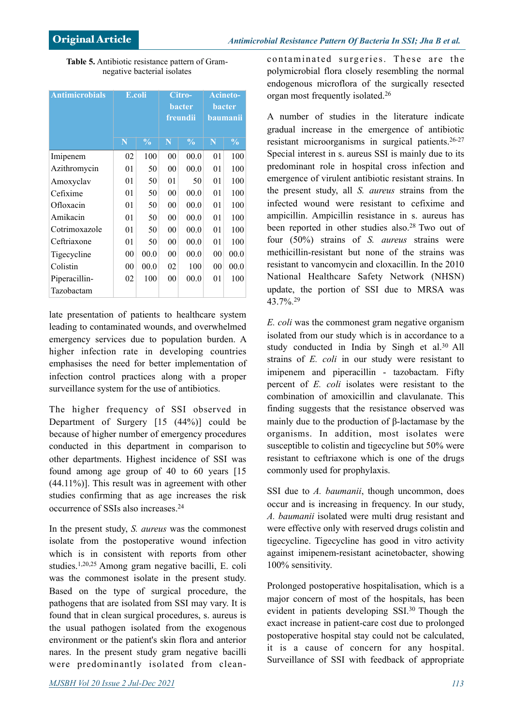**Table 5.** Antibiotic resistance pattern of Gramnegative bacterial isolates

| <b>Antimicrobials</b> | E.coli |               | Citro-<br><b>bacter</b><br>freundii |               | <b>Acineto-</b><br><b>bacter</b><br>baumanii |               |
|-----------------------|--------|---------------|-------------------------------------|---------------|----------------------------------------------|---------------|
|                       | N      | $\frac{0}{0}$ | N                                   | $\frac{0}{0}$ | N                                            | $\frac{0}{0}$ |
| Imipenem              | 02     | 100           | 00                                  | 00.0          | 0 <sub>1</sub>                               | 100           |
| Azithromycin          | 01     | 50            | 00                                  | 00.0          | 01                                           | 100           |
| Amoxyclav             | 01     | 50            | 01                                  | 50            | 01                                           | 100           |
| Cefixime              | 01     | 50            | 00                                  | 00.0          | 01                                           | 100           |
| Ofloxacin             | 01     | 50            | 00                                  | 00.0          | 01                                           | 100           |
| Amikacin              | 01     | 50            | 00                                  | 00.0          | 01                                           | 100           |
| Cotrimoxazole         | 01     | 50            | 00                                  | 00.0          | 01                                           | 100           |
| Ceftriaxone           | 01     | 50            | 00                                  | 00.0          | 01                                           | 100           |
| Tigecycline           | 00     | 00.0          | 00                                  | 00.0          | 00                                           | 00.0          |
| Colistin              | 00     | 00.0          | 02                                  | 100           | 00                                           | 00.0          |
| Piperacillin-         | 02     | 100           | 00                                  | 00.0          | 01                                           | 100           |
| Tazobactam            |        |               |                                     |               |                                              |               |

late presentation of patients to healthcare system leading to contaminated wounds, and overwhelmed emergency services due to population burden. A higher infection rate in developing countries emphasises the need for better implementation of infection control practices along with a proper surveillance system for the use of antibiotics.

The higher frequency of SSI observed in Department of Surgery [15 (44%)] could be because of higher number of emergency procedures conducted in this department in comparison to other departments. Highest incidence of SSI was found among age group of 40 to 60 years [15  $(44.11\%)$ ]. This result was in agreement with other studies confirming that as age increases the risk occurrence of SSIs also increases.24

In the present study, *S. aureus* was the commonest isolate from the postoperative wound infection which is in consistent with reports from other studies.1,20,25 Among gram negative bacilli, E. coli was the commonest isolate in the present study. Based on the type of surgical procedure, the pathogens that are isolated from SSI may vary. It is found that in clean surgical procedures, s. aureus is the usual pathogen isolated from the exogenous environment or the patient's skin flora and anterior nares. In the present study gram negative bacilli were predominantly isolated from cleancontaminated surgeries. These are the polymicrobial flora closely resembling the normal endogenous microflora of the surgically resected organ most frequently isolated.26

A number of studies in the literature indicate gradual increase in the emergence of antibiotic resistant microorganisms in surgical patients.26-27 Special interest in s. aureus SSI is mainly due to its predominant role in hospital cross infection and emergence of virulent antibiotic resistant strains. In the present study, all *S. aureus* strains from the infected wound were resistant to cefixime and ampicillin. Ampicillin resistance in s. aureus has been reported in other studies also.<sup>28</sup> Two out of four (50%) strains of *S. aureus* strains were methicillin-resistant but none of the strains was resistant to vancomycin and cloxacillin. In the 2010 National Healthcare Safety Network (NHSN) update, the portion of SSI due to MRSA was 43.7%. 29

*E. coli* was the commonest gram negative organism isolated from our study which is in accordance to a study conducted in India by Singh et al.<sup>30</sup> All strains of *E. coli* in our study were resistant to imipenem and piperacillin - tazobactam. Fifty percent of *E. coli* isolates were resistant to the combination of amoxicillin and clavulanate. This finding suggests that the resistance observed was mainly due to the production of β-lactamase by the organisms. In addition, most isolates were susceptible to colistin and tigecycline but 50% were resistant to ceftriaxone which is one of the drugs commonly used for prophylaxis.

SSI due to *A. baumanii*, though uncommon, does occur and is increasing in frequency. In our study, *A. baumanii* isolated were multi drug resistant and were effective only with reserved drugs colistin and tigecycline. Tigecycline has good in vitro activity against imipenem-resistant acinetobacter, showing 100% sensitivity.

Prolonged postoperative hospitalisation, which is a major concern of most of the hospitals, has been evident in patients developing SSI.30 Though the exact increase in patient-care cost due to prolonged postoperative hospital stay could not be calculated, it is a cause of concern for any hospital. Surveillance of SSI with feedback of appropriate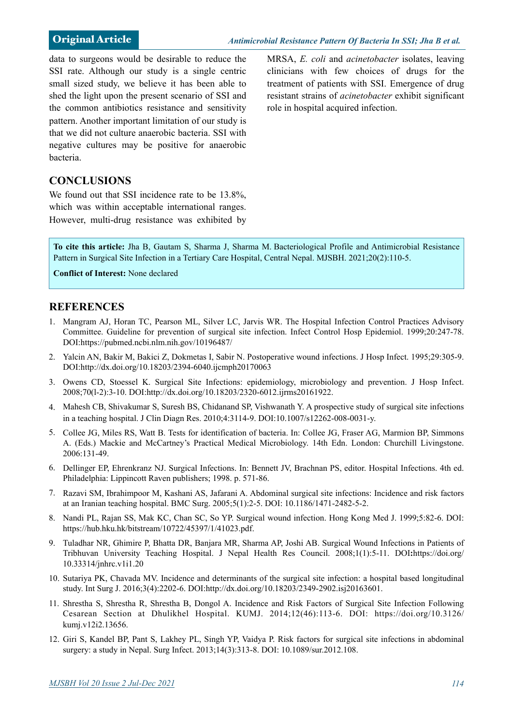data to surgeons would be desirable to reduce the SSI rate. Although our study is a single centric small sized study, we believe it has been able to shed the light upon the present scenario of SSI and the common antibiotics resistance and sensitivity pattern. Another important limitation of our study is that we did not culture anaerobic bacteria. SSI with negative cultures may be positive for anaerobic bacteria.

MRSA, *E. coli* and *acinetobacter* isolates, leaving clinicians with few choices of drugs for the treatment of patients with SSI. Emergence of drug resistant strains of *acinetobacter* exhibit significant role in hospital acquired infection.

### **CONCLUSIONS**

We found out that SSI incidence rate to be 13.8%, which was within acceptable international ranges. However, multi-drug resistance was exhibited by

**To cite this article:** Jha B, Gautam S, Sharma J, Sharma M. Bacteriological Profile and Antimicrobial Resistance Pattern in Surgical Site Infection in a Tertiary Care Hospital, Central Nepal. MJSBH. 2021;20(2):110-5.

**Conflict of Interest:** None declared

#### **REFERENCES**

- 1. Mangram AJ, Horan TC, Pearson ML, Silver LC, Jarvis WR. The Hospital Infection Control Practices Advisory Committee. Guideline for prevention of surgical site infection. Infect Control Hosp Epidemiol. 1999;20:247-78. DOI:https://pubmed.ncbi.nlm.nih.gov/10196487/
- 2. Yalcin AN, Bakir M, Bakici Z, Dokmetas I, Sabir N. Postoperative wound infections. J Hosp Infect. 1995;29:305-9. DOI:http://dx.doi.org/10.18203/2394-6040.ijcmph20170063
- 3. Owens CD, Stoessel K. Surgical Site Infections: epidemiology, microbiology and prevention. J Hosp Infect. 2008;70(l-2):3-10. DOI:http://dx.doi.org/10.18203/2320-6012.ijrms20161922.
- 4. Mahesh CB, Shivakumar S, Suresh BS, Chidanand SP, Vishwanath Y. A prospective study of surgical site infections in a teaching hospital. J Clin Diagn Res. 2010;4:3114-9. DOI:10.1007/s12262-008-0031-y.
- 5. Collee JG, Miles RS, Watt B. Tests for identification of bacteria. In: Collee JG, Fraser AG, Marmion BP, Simmons A. (Eds.) Mackie and McCartney's Practical Medical Microbiology. 14th Edn. London: Churchill Livingstone. 2006:131-49.
- 6. Dellinger EP, Ehrenkranz NJ. Surgical Infections. In: Bennett JV, Brachnan PS, editor. Hospital Infections. 4th ed. Philadelphia: Lippincott Raven publishers; 1998. p. 571-86.
- 7. Razavi SM, Ibrahimpoor M, Kashani AS, Jafarani A. Abdominal surgical site infections: Incidence and risk factors at an Iranian teaching hospital. BMC Surg. 2005;5(1):2-5. DOI: 10.1186/1471-2482-5-2.
- 8. Nandi PL, Rajan SS, Mak KC, Chan SC, So YP. Surgical wound infection. Hong Kong Med J. 1999;5:82-6. DOI: https://hub.hku.hk/bitstream/10722/45397/1/41023.pdf.
- 9. Tuladhar NR, Ghimire P, Bhatta DR, Banjara MR, Sharma AP, Joshi AB. Surgical Wound Infections in Patients of Tribhuvan University Teaching Hospital. J Nepal Health Res Council. 2008;1(1):5-11. DOI**:**https://doi.org/ 10.33314/jnhrc.v1i1.20
- 10. Sutariya PK, Chavada MV. Incidence and determinants of the surgical site infection: a hospital based longitudinal study. Int Surg J. 2016;3(4):2202-6. DOI:http://dx.doi.org/10.18203/2349-2902.isj20163601.
- 11. Shrestha S, Shrestha R, Shrestha B, Dongol A. Incidence and Risk Factors of Surgical Site Infection Following Cesarean Section at Dhulikhel Hospital. KUMJ. 2014;12(46):113-6. DOI: https://doi.org/10.3126/ kumj.v12i2.13656.
- 12. Giri S, Kandel BP, Pant S, Lakhey PL, Singh YP, Vaidya P. Risk factors for surgical site infections in abdominal surgery: a study in Nepal. Surg Infect. 2013;14(3):313-8. DOI: 10.1089/sur.2012.108.